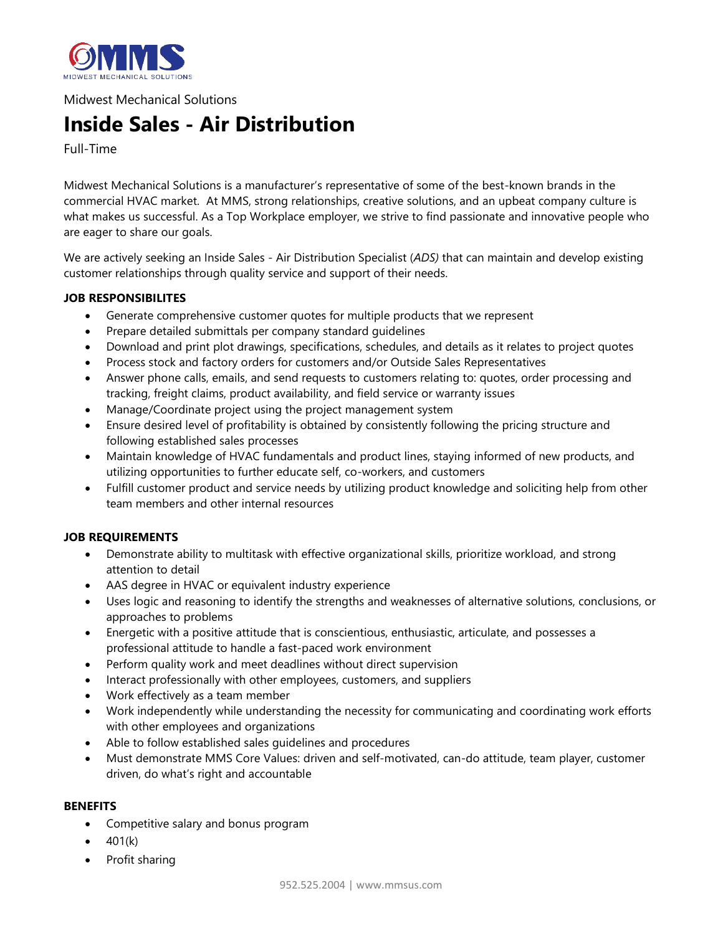

Midwest Mechanical Solutions

## **Inside Sales - Air Distribution**

Full-Time

Midwest Mechanical Solutions is a manufacturer's representative of some of the best-known brands in the commercial HVAC market. At MMS, strong relationships, creative solutions, and an upbeat company culture is what makes us successful. As a Top Workplace employer, we strive to find passionate and innovative people who are eager to share our goals.

We are actively seeking an Inside Sales - Air Distribution Specialist (*ADS)* that can maintain and develop existing customer relationships through quality service and support of their needs.

## **JOB RESPONSIBILITES**

- Generate comprehensive customer quotes for multiple products that we represent
- Prepare detailed submittals per company standard guidelines
- Download and print plot drawings, specifications, schedules, and details as it relates to project quotes
- Process stock and factory orders for customers and/or Outside Sales Representatives
- Answer phone calls, emails, and send requests to customers relating to: quotes, order processing and tracking, freight claims, product availability, and field service or warranty issues
- Manage/Coordinate project using the project management system
- Ensure desired level of profitability is obtained by consistently following the pricing structure and following established sales processes
- Maintain knowledge of HVAC fundamentals and product lines, staying informed of new products, and utilizing opportunities to further educate self, co-workers, and customers
- Fulfill customer product and service needs by utilizing product knowledge and soliciting help from other team members and other internal resources

## **JOB REQUIREMENTS**

- Demonstrate ability to multitask with effective organizational skills, prioritize workload, and strong attention to detail
- AAS degree in HVAC or equivalent industry experience
- Uses logic and reasoning to identify the strengths and weaknesses of alternative solutions, conclusions, or approaches to problems
- Energetic with a positive attitude that is conscientious, enthusiastic, articulate, and possesses a professional attitude to handle a fast-paced work environment
- Perform quality work and meet deadlines without direct supervision
- Interact professionally with other employees, customers, and suppliers
- Work effectively as a team member
- Work independently while understanding the necessity for communicating and coordinating work efforts with other employees and organizations
- Able to follow established sales guidelines and procedures
- Must demonstrate MMS Core Values: driven and self-motivated, can-do attitude, team player, customer driven, do what's right and accountable

## **BENEFITS**

- Competitive salary and bonus program
- $\bullet$  401(k)
- Profit sharing